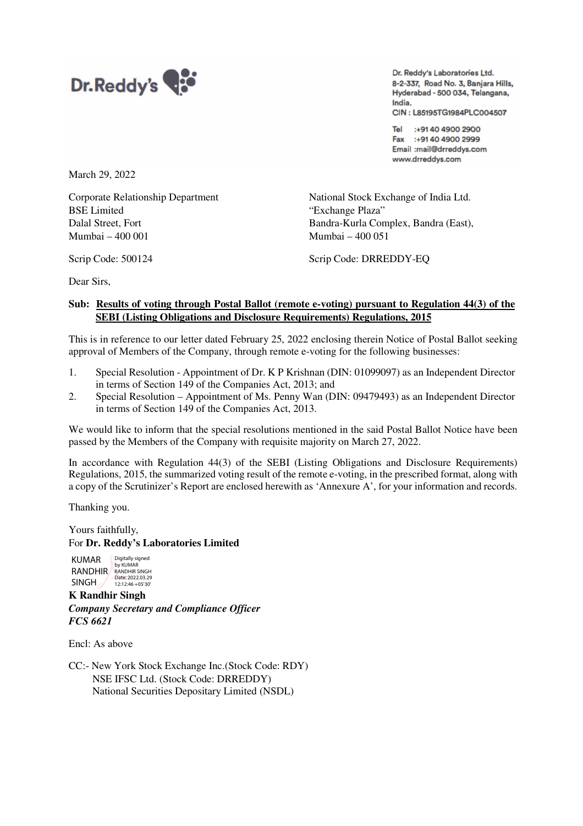

Dr. Reddy's Laboratories Ltd. 8-2-337, Road No. 3, Banjara Hills, Hyderabad - 500 034, Telangana, India. CIN: L85195TG1984PLC004507

Tel: :+91 40 4900 2900 Fax :+9140 4900 2999 Email :mail@drreddys.com www.drreddys.com

March 29, 2022

Corporate Relationship Department National Stock Exchange of India Ltd. BSE Limited "Exchange Plaza" Mumbai – 400 001 Mumbai – 400 051

Dalal Street, Fort Bandra-Kurla Complex, Bandra (East),

Scrip Code: 500124 Scrip Code: DRREDDY-EQ

Dear Sirs,

## **Sub: Results of voting through Postal Ballot (remote e-voting) pursuant to Regulation 44(3) of the SEBI (Listing Obligations and Disclosure Requirements) Regulations, 2015**

This is in reference to our letter dated February 25, 2022 enclosing therein Notice of Postal Ballot seeking approval of Members of the Company, through remote e-voting for the following businesses:

- 1. Special Resolution Appointment of Dr. K P Krishnan (DIN: 01099097) as an Independent Director in terms of Section 149 of the Companies Act, 2013; and
- 2. Special Resolution Appointment of Ms. Penny Wan (DIN: 09479493) as an Independent Director in terms of Section 149 of the Companies Act, 2013.

We would like to inform that the special resolutions mentioned in the said Postal Ballot Notice have been passed by the Members of the Company with requisite majority on March 27, 2022.

In accordance with Regulation 44(3) of the SEBI (Listing Obligations and Disclosure Requirements) Regulations, 2015, the summarized voting result of the remote e-voting, in the prescribed format, along with a copy of the Scrutinizer's Report are enclosed herewith as 'Annexure A', for your information and records.

Thanking you.

Yours faithfully, For **Dr. Reddy's Laboratories Limited** 

KUMAR RANDHIR SINGH<sub>/</sub> Digitally signed<br>by KUMAR<br>RANDHIR SINGH Date: 2022.03.29 12:12:46 +05'30'

**K Randhir Singh**  *Company Secretary and Compliance Officer FCS 6621* 

Encl: As above

CC:- New York Stock Exchange Inc.(Stock Code: RDY) NSE IFSC Ltd. (Stock Code: DRREDDY) National Securities Depositary Limited (NSDL)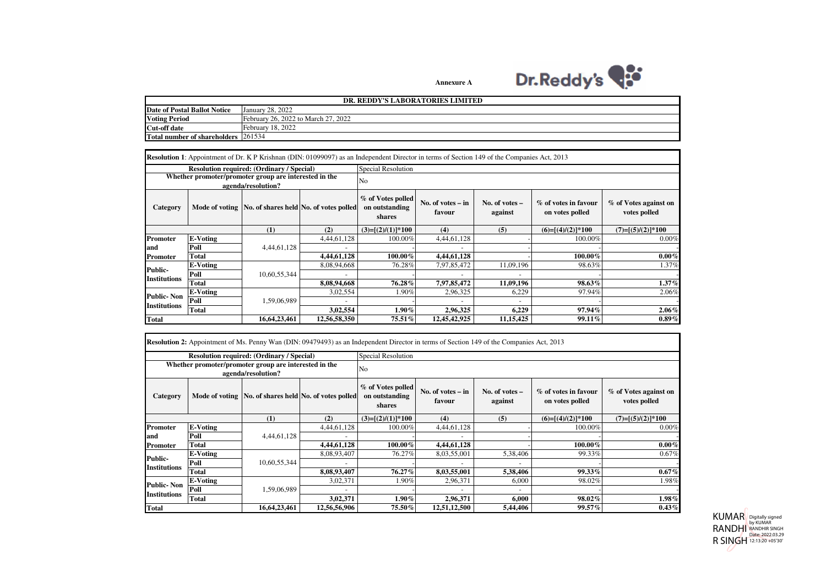

**Annexure A**

| DR. REDDY'S LABORATORIES LIMITED    |                                     |  |  |  |  |
|-------------------------------------|-------------------------------------|--|--|--|--|
| Date of Postal Ballot Notice        | January 28, 2022                    |  |  |  |  |
| <b>Voting Period</b>                | February 26, 2022 to March 27, 2022 |  |  |  |  |
| <b>Cut-off date</b>                 | February 18, 2022                   |  |  |  |  |
| Total number of shareholders 261534 |                                     |  |  |  |  |

 $\mathbf{r}$ 

|                                                                             |                 |              | <b>Resolution 1</b> : Appointment of Dr. K P Krishnan (DIN: 01099097) as an Independent Director in terms of Section 149 of the Companies Act, 2013 |                                                                                |              |                             |                                         |                                       |  |  |
|-----------------------------------------------------------------------------|-----------------|--------------|-----------------------------------------------------------------------------------------------------------------------------------------------------|--------------------------------------------------------------------------------|--------------|-----------------------------|-----------------------------------------|---------------------------------------|--|--|
| <b>Resolution required: (Ordinary / Special)</b>                            |                 |              |                                                                                                                                                     | <b>Special Resolution</b>                                                      |              |                             |                                         |                                       |  |  |
| Whether promoter/promoter group are interested in the<br>agenda/resolution? |                 |              |                                                                                                                                                     | No                                                                             |              |                             |                                         |                                       |  |  |
| Category                                                                    |                 |              | Mode of voting No. of shares held No. of votes polled                                                                                               | % of Votes polled<br>No. of votes $-$ in<br>on outstanding<br>favour<br>shares |              | No. of votes $-$<br>against | % of votes in favour<br>on votes polled | % of Votes against on<br>votes polled |  |  |
|                                                                             |                 | (1)          | (2)                                                                                                                                                 | $(3)=[(2)/(1)]*100$                                                            | (4)          | (5)                         | $(6)=[(4)/(2)]*100$                     | $(7)=[(5)/(2)]*100$                   |  |  |
| <b>Promoter</b>                                                             | <b>E-Voting</b> |              | 4,44,61,128                                                                                                                                         | 100.00%                                                                        | 4,44,61,128  |                             | 100.00%                                 | 0.00%                                 |  |  |
| and                                                                         | Poll            | 4,44,61,128  |                                                                                                                                                     |                                                                                |              |                             |                                         |                                       |  |  |
| <b>Promoter</b>                                                             | Total           |              | 4,44,61,128                                                                                                                                         | 100.00%                                                                        | 4,44,61,128  |                             | 100.00%                                 | $0.00\%$                              |  |  |
| <b>Public-</b>                                                              | E-Voting        |              | 8,08,94,668                                                                                                                                         | 76.28%                                                                         | 7,97,85,472  | 11,09,196                   | 98.63%                                  | 1.37%                                 |  |  |
|                                                                             | Poll            | 10,60,55,344 |                                                                                                                                                     |                                                                                |              |                             |                                         |                                       |  |  |
| Institutions                                                                | Total           |              | 8,08,94,668                                                                                                                                         | 76.28%                                                                         | 7,97,85,472  | 11,09,196                   | 98.63%                                  | $1.37\%$                              |  |  |
| Public- Non<br>Institutions                                                 | E-Voting        |              | 3,02,554                                                                                                                                            | 1.90%                                                                          | 2,96,325     | 6,229                       | 97.94%                                  | 2.06%                                 |  |  |
|                                                                             | Poll            | 1,59,06,989  |                                                                                                                                                     |                                                                                |              |                             |                                         |                                       |  |  |
|                                                                             | Total           |              | 3,02,554                                                                                                                                            | $1.90\%$                                                                       | 2,96,325     | 6,229                       | 97.94%                                  | $2.06\%$                              |  |  |
| <b>Total</b><br>16,64,23,461<br>12,56,58,350                                |                 |              |                                                                                                                                                     | 75.51%                                                                         | 12,45,42,925 | 11, 15, 425                 | 99.11%                                  | $0.89\%$                              |  |  |

|                                                                                                                                 |          |              |                                                       |                                               | <b>Resolution 2:</b> Appointment of Ms. Penny Wan (DIN: 09479493) as an Independent Director in terms of Section 149 of the Companies Act, 2013 |                             |                                         |                                       |  |  |
|---------------------------------------------------------------------------------------------------------------------------------|----------|--------------|-------------------------------------------------------|-----------------------------------------------|-------------------------------------------------------------------------------------------------------------------------------------------------|-----------------------------|-----------------------------------------|---------------------------------------|--|--|
| <b>Resolution required: (Ordinary / Special)</b><br>Whether promoter/promoter group are interested in the<br>agenda/resolution? |          |              |                                                       | Special Resolution                            |                                                                                                                                                 |                             |                                         |                                       |  |  |
|                                                                                                                                 |          |              |                                                       | No                                            |                                                                                                                                                 |                             |                                         |                                       |  |  |
| Category                                                                                                                        |          |              | Mode of voting No. of shares held No. of votes polled | % of Votes polled<br>on outstanding<br>shares | No. of votes $-$ in<br>favour                                                                                                                   | No. of votes $-$<br>against | % of votes in favour<br>on votes polled | % of Votes against on<br>votes polled |  |  |
|                                                                                                                                 |          | (1)          | (2)                                                   | $(3)=[(2)/(1)]*100$                           | (4)                                                                                                                                             | (5)                         | $(6)=[(4)/(2)]*100$                     | $(7)=[(5)/(2)]*100$                   |  |  |
| Promoter                                                                                                                        | E-Voting |              | 4,44,61,128                                           | 100.00%                                       | 4,44,61,128                                                                                                                                     |                             | 100.00%                                 | 0.00%                                 |  |  |
| and                                                                                                                             | Poll     | 4,44,61,128  |                                                       |                                               |                                                                                                                                                 |                             |                                         |                                       |  |  |
| <b>Promoter</b>                                                                                                                 | Total    |              | 4,44,61,128                                           | 100.00%                                       | 4,44,61,128                                                                                                                                     |                             | 100.00%                                 | $0.00\%$                              |  |  |
|                                                                                                                                 | E-Voting |              | 8,08,93,407                                           | 76.27%                                        | 8,03,55,001                                                                                                                                     | 5,38,406                    | 99.33%                                  | 0.67%                                 |  |  |
| <b>Public-</b><br><b>Institutions</b>                                                                                           | Poll     | 10,60,55,344 |                                                       |                                               |                                                                                                                                                 |                             |                                         |                                       |  |  |
|                                                                                                                                 | Total    |              | 8,08,93,407                                           | 76.27%                                        | 8,03,55,001                                                                                                                                     | 5,38,406                    | 99.33%                                  | $0.67\%$                              |  |  |
| <b>Public-Non</b><br><b>Institutions</b>                                                                                        | E-Voting |              | 3,02,371                                              | $1.90\%$                                      | 2,96,371                                                                                                                                        | 6,000                       | 98.02%                                  | 1.98%                                 |  |  |
|                                                                                                                                 | Poll     | 1,59,06,989  |                                                       |                                               |                                                                                                                                                 |                             |                                         |                                       |  |  |
|                                                                                                                                 | Total    |              | 3,02,371                                              | $1.90\%$                                      | 2,96,371                                                                                                                                        | 6,000                       | 98.02%                                  | $1.98\%$                              |  |  |
| <b>Total</b>                                                                                                                    |          | 16,64,23,461 | 12,56,56,906                                          | 75.50%                                        | 12,51,12,500                                                                                                                                    | 5,44,406                    | 99.57%                                  | $0.43\%$                              |  |  |

KUMAR<br>RANDHI<br>R SINGH Digitally signed by KUMAR RANDHIR SINGH Date: 2022.03.29 12:13:20 +05'30'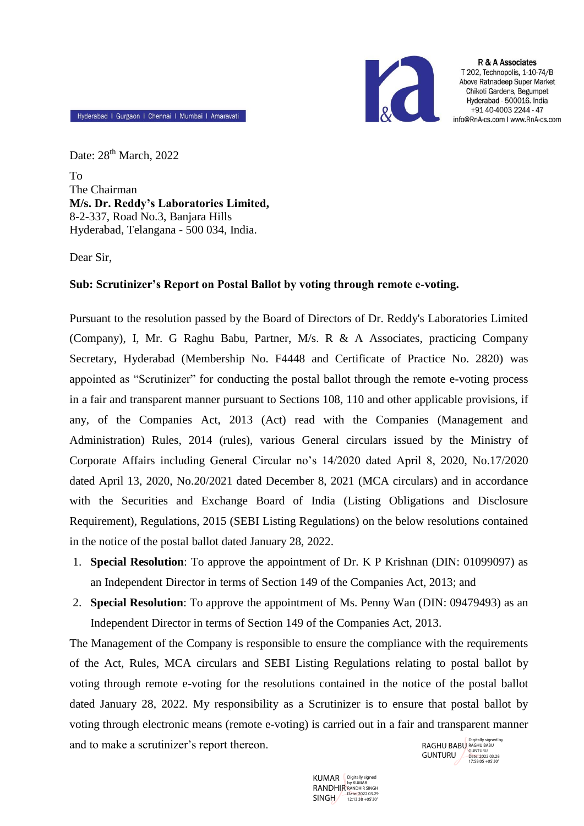

R & A Associates T 202. Technopolis, 1-10-74/B Above Ratnadeep Super Market Chikoti Gardens, Begumpet Hyderabad - 500016. India +91 40-4003 2244 - 47 info@RnA-cs.com I www.RnA-cs.com

Hyderabad I Gurgaon I Chennai I Mumbai I Amaravati

Date: 28<sup>th</sup> March, 2022 To The Chairman **M/s. Dr. Reddy's Laboratories Limited,** 8-2-337, Road No.3, Banjara Hills Hyderabad, Telangana - 500 034, India.

Dear Sir,

## **Sub: Scrutinizer's Report on Postal Ballot by voting through remote e-voting.**

Pursuant to the resolution passed by the Board of Directors of Dr. Reddy's Laboratories Limited (Company), I, Mr. G Raghu Babu, Partner, M/s. R & A Associates, practicing Company Secretary, Hyderabad (Membership No. F4448 and Certificate of Practice No. 2820) was appointed as "Scrutinizer" for conducting the postal ballot through the remote e-voting process in a fair and transparent manner pursuant to Sections 108, 110 and other applicable provisions, if any, of the Companies Act, 2013 (Act) read with the Companies (Management and Administration) Rules, 2014 (rules), various General circulars issued by the Ministry of Corporate Affairs including General Circular no's 14/2020 dated April 8, 2020, No.17/2020 dated April 13, 2020, No.20/2021 dated December 8, 2021 (MCA circulars) and in accordance with the Securities and Exchange Board of India (Listing Obligations and Disclosure Requirement), Regulations, 2015 (SEBI Listing Regulations) on the below resolutions contained in the notice of the postal ballot dated January 28, 2022.

- 1. **Special Resolution**: To approve the appointment of Dr. K P Krishnan (DIN: 01099097) as an Independent Director in terms of Section 149 of the Companies Act, 2013; and
- 2. **Special Resolution**: To approve the appointment of Ms. Penny Wan (DIN: 09479493) as an Independent Director in terms of Section 149 of the Companies Act, 2013.

The Management of the Company is responsible to ensure the compliance with the requirements of the Act, Rules, MCA circulars and SEBI Listing Regulations relating to postal ballot by voting through remote e-voting for the resolutions contained in the notice of the postal ballot dated January 28, 2022. My responsibility as a Scrutinizer is to ensure that postal ballot by voting through electronic means (remote e-voting) is carried out in a fair and transparent manner and to make a scrutinizer's report thereon. Digitally signed by<br>
RAGHU BABU RAGHU BABU

KUMAR RANDHIR SINGH <sup>Date: 2022.03.29</sup> Digitally signed by KUMAR RANDHIR SINGH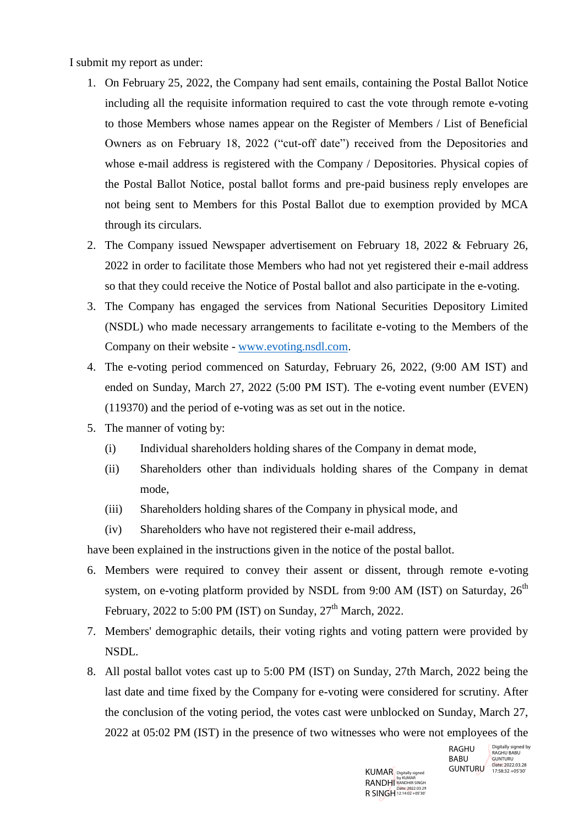I submit my report as under:

- 1. On February 25, 2022, the Company had sent emails, containing the Postal Ballot Notice including all the requisite information required to cast the vote through remote e-voting to those Members whose names appear on the Register of Members / List of Beneficial Owners as on February 18, 2022 ("cut-off date") received from the Depositories and whose e-mail address is registered with the Company / Depositories. Physical copies of the Postal Ballot Notice, postal ballot forms and pre-paid business reply envelopes are not being sent to Members for this Postal Ballot due to exemption provided by MCA through its circulars.
- 2. The Company issued Newspaper advertisement on February 18, 2022 & February 26, 2022 in order to facilitate those Members who had not yet registered their e-mail address so that they could receive the Notice of Postal ballot and also participate in the e-voting.
- 3. The Company has engaged the services from National Securities Depository Limited (NSDL) who made necessary arrangements to facilitate e-voting to the Members of the Company on their website - [www.evoting.nsdl.com.](http://www.evoting.nsdl.com/)
- 4. The e-voting period commenced on Saturday, February 26, 2022, (9:00 AM IST) and ended on Sunday, March 27, 2022 (5:00 PM IST). The e-voting event number (EVEN) (119370) and the period of e-voting was as set out in the notice.
- 5. The manner of voting by:
	- (i) Individual shareholders holding shares of the Company in demat mode,
	- (ii) Shareholders other than individuals holding shares of the Company in demat mode,
	- (iii) Shareholders holding shares of the Company in physical mode, and
	- (iv) Shareholders who have not registered their e-mail address,

have been explained in the instructions given in the notice of the postal ballot.

- 6. Members were required to convey their assent or dissent, through remote e-voting system, on e-voting platform provided by NSDL from 9:00 AM (IST) on Saturday,  $26<sup>th</sup>$ February, 2022 to 5:00 PM (IST) on Sunday,  $27<sup>th</sup>$  March, 2022.
- 7. Members' demographic details, their voting rights and voting pattern were provided by NSDL.
- 8. All postal ballot votes cast up to 5:00 PM (IST) on Sunday, 27th March, 2022 being the last date and time fixed by the Company for e-voting were considered for scrutiny. After the conclusion of the voting period, the votes cast were unblocked on Sunday, March 27, 2022 at 05:02 PM (IST) in the presence of two witnesses who were not employees of the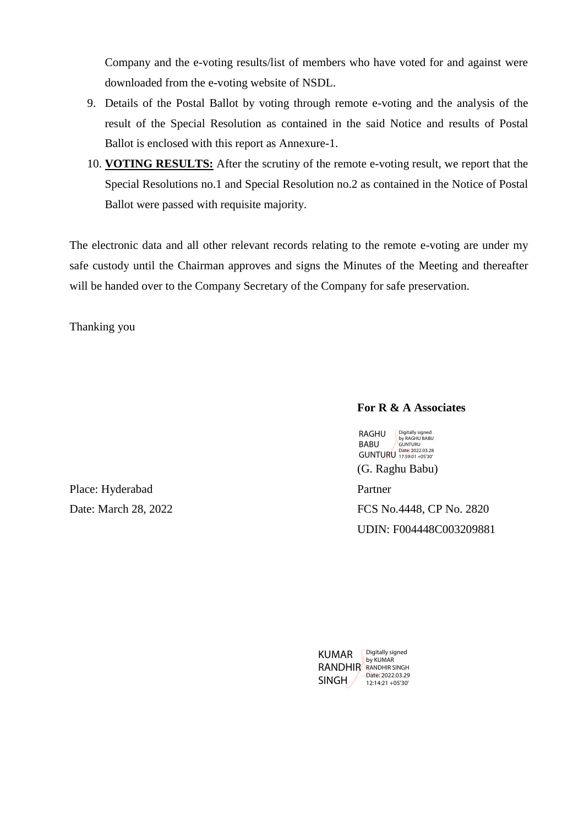Company and the e-voting results/list of members who have voted for and against were downloaded from the e-voting website of NSDL.

- 9. Details of the Postal Ballot by voting through remote e-voting and the analysis of the result of the Special Resolution as contained in the said Notice and results of Postal Ballot is enclosed with this report as Annexure-1.
- 10. **VOTING RESULTS:** After the scrutiny of the remote e-voting result, we report that the Special Resolutions no.1 and Special Resolution no.2 as contained in the Notice of Postal Ballot were passed with requisite majority.

The electronic data and all other relevant records relating to the remote e-voting are under my safe custody until the Chairman approves and signs the Minutes of the Meeting and thereafter will be handed over to the Company Secretary of the Company for safe preservation.

Thanking you

## **For R & A Associates**

(G. Raghu Babu) RAGHU BABU GUNTURU Date: 2022.03.28 Digitally signed by RAGHU BABU GUNTURU

Partner

FCS No.4448, CP No. 2820 UDIN: F004448C003209881

Place: Hyderabad Date: March 28, 2022

| KUMAR   | Digitally signed     |  |  |  |  |
|---------|----------------------|--|--|--|--|
|         | by KUMAR             |  |  |  |  |
| RANDHIR | <b>RANDHIR SINGH</b> |  |  |  |  |
|         | Date: 2022.03.29     |  |  |  |  |
| SINGH   | 12:14:21 + 05'30'    |  |  |  |  |
|         |                      |  |  |  |  |